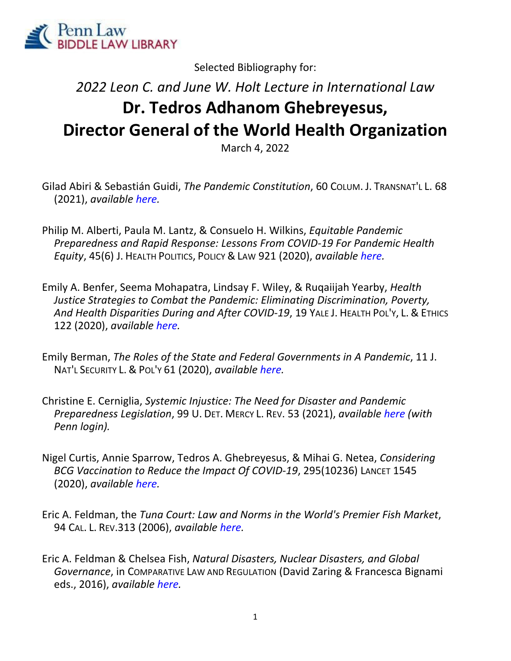

Selected Bibliography for:

## *2022 Leon C. and June W. Holt Lecture in International Law* **Dr. Tedros Adhanom Ghebreyesus, Director General of the World Health Organization**

March 4, 2022

- Gilad Abiri & Sebastián Guidi, *The Pandemic Constitution*, 60 COLUM. J. TRANSNAT'L L. 68 (2021), *available here.*
- Philip M. Alberti, Paula M. Lantz, & Consuelo H. Wilkins, *Equitable Pandemic Preparedness and Rapid Response: Lessons From COVID‐19 For Pandemic Health Equity*, 45(6) J. HEALTH POLITICS, POLICY & LAW 921 (2020), *available here.*
- Emily A. Benfer, Seema Mohapatra, Lindsay F. Wiley, & Ruqaiijah Yearby, *Health Justice Strategies to Combat the Pandemic: Eliminating Discrimination, Poverty, And Health Disparities During and After COVID‐19*, 19 YALE J. HEALTH POL'Y, L. & ETHICS 122 (2020), *available here.*
- Emily Berman, *The Roles of the State and Federal Governments in A Pandemic*, 11 J. NAT'L SECURITY L. & POL'Y 61 (2020), *available here.*
- Christine E. Cerniglia, *Systemic Injustice: The Need for Disaster and Pandemic Preparedness Legislation*, 99 U. DET. MERCY L. REV. 53 (2021), *available here (with Penn login).*
- Nigel Curtis, Annie Sparrow, Tedros A. Ghebreyesus, & Mihai G. Netea, *Considering BCG Vaccination to Reduce the Impact Of COVID‐19*, 295(10236) LANCET 1545 (2020), *available here.*
- Eric A. Feldman, the *Tuna Court: Law and Norms in the World's Premier Fish Market*, 94 CAL. L. REV.313 (2006), *available here.*
- Eric A. Feldman & Chelsea Fish, *Natural Disasters, Nuclear Disasters, and Global Governance*, in COMPARATIVE LAW AND REGULATION (David Zaring & Francesca Bignami eds., 2016), *available here.*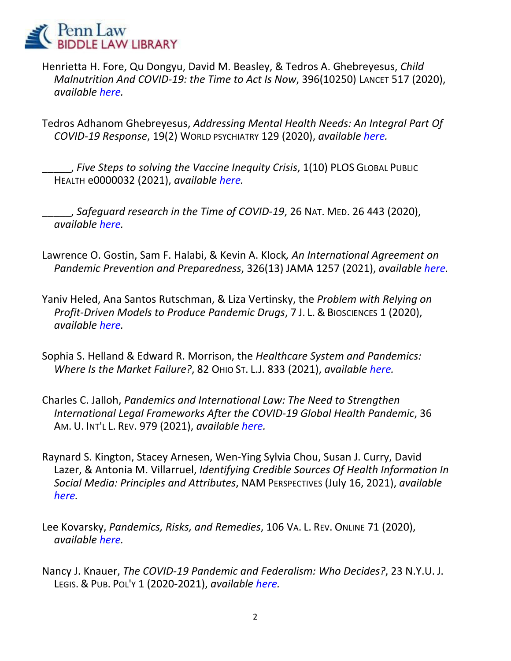

Henrietta H. Fore, Qu Dongyu, David M. Beasley, & Tedros A. Ghebreyesus, *Child Malnutrition And COVID‐19: the Time to Act Is Now*, 396(10250) LANCET 517 (2020), *available here.*

Tedros Adhanom Ghebreyesus, *Addressing Mental Health Needs: An Integral Part Of COVID‐19 Response*, 19(2) WORLD PSYCHIATRY 129 (2020), *available here.*

\_\_\_\_\_, *Five Steps to solving the Vaccine Inequity Crisis*, 1(10) PLOS GLOBAL PUBLIC HEALTH e0000032 (2021), *available here.*

\_\_\_\_\_, *Safeguard research in the Time of COVID‐19*, 26 NAT. MED. 26 443 (2020), *available here.*

- Lawrence O. Gostin, Sam F. Halabi, & Kevin A. Klock*, An International Agreement on Pandemic Prevention and Preparedness*, 326(13) JAMA 1257 (2021), *available here.*
- Yaniv Heled, Ana Santos Rutschman, & Liza Vertinsky, the *Problem with Relying on Profit‐Driven Models to Produce Pandemic Drugs*, 7 J. L. & BIOSCIENCES 1 (2020), *available here.*
- Sophia S. Helland & Edward R. Morrison, the *Healthcare System and Pandemics: Where Is the Market Failure?*, 82 OHIO ST. L.J. 833 (2021), *available here.*
- Charles C. Jalloh, *Pandemics and International Law: The Need to Strengthen International Legal Frameworks After the COVID‐19 Global Health Pandemic*, 36 AM. U. INT'L L. REV. 979 (2021), *available here.*
- Raynard S. Kington, Stacey Arnesen, Wen‐Ying Sylvia Chou, Susan J. Curry, David Lazer, & Antonia M. Villarruel, *Identifying Credible Sources Of Health Information In Social Media: Principles and Attributes*, NAM PERSPECTIVES (July 16, 2021), *available here.*
- Lee Kovarsky, *Pandemics, Risks, and Remedies*, 106 VA. L. REV. ONLINE 71 (2020), *available here.*
- Nancy J. Knauer, *The COVID‐19 Pandemic and Federalism: Who Decides?*, 23 N.Y.U. J. LEGIS. & PUB. POL'Y 1 (2020‐2021), *available here.*